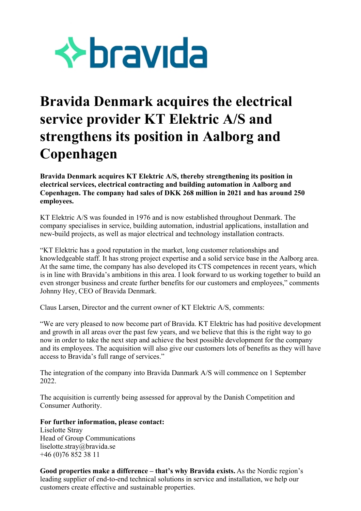

## **Bravida Denmark acquires the electrical service provider KT Elektric A/S and strengthens its position in Aalborg and Copenhagen**

**Bravida Denmark acquires KT Elektric A/S, thereby strengthening its position in electrical services, electrical contracting and building automation in Aalborg and Copenhagen. The company had sales of DKK 268 million in 2021 and has around 250 employees.**

KT Elektric A/S was founded in 1976 and is now established throughout Denmark. The company specialises in service, building automation, industrial applications, installation and new-build projects, as well as major electrical and technology installation contracts.

"KT Elektric has a good reputation in the market, long customer relationships and knowledgeable staff. It has strong project expertise and a solid service base in the Aalborg area. At the same time, the company has also developed its CTS competences in recent years, which is in line with Bravida's ambitions in this area. I look forward to us working together to build an even stronger business and create further benefits for our customers and employees," comments Johnny Hey, CEO of Bravida Denmark.

Claus Larsen, Director and the current owner of KT Elektric A/S, comments:

"We are very pleased to now become part of Bravida. KT Elektric has had positive development and growth in all areas over the past few years, and we believe that this is the right way to go now in order to take the next step and achieve the best possible development for the company and its employees. The acquisition will also give our customers lots of benefits as they will have access to Bravida's full range of services."

The integration of the company into Bravida Danmark A/S will commence on 1 September 2022.

The acquisition is currently being assessed for approval by the Danish Competition and Consumer Authority.

**For further information, please contact:** 

Liselotte Stray Head of Group Communications liselotte.stray@bravida.se +46 (0)76 852 38 11

**Good properties make a difference – that's why Bravida exists.** As the Nordic region's leading supplier of end-to-end technical solutions in service and installation, we help our customers create effective and sustainable properties.